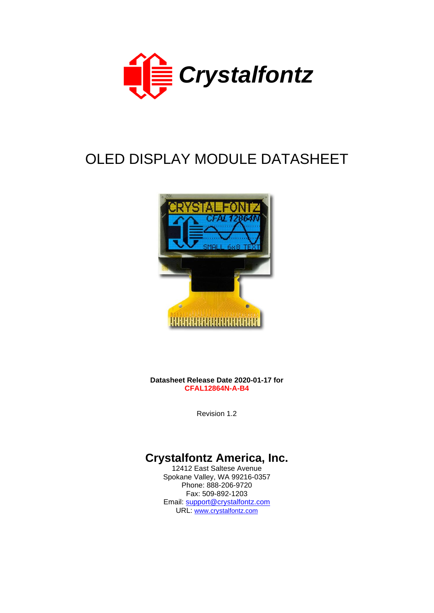

# OLED DISPLAY MODULE DATASHEET



**Datasheet Release Date 2020-01-17 for CFAL12864N-A-B4**

Revision 1.2

# **Crystalfontz America, Inc.**

12412 East Saltese Avenue Spokane Valley, WA 99216-0357 Phone: 888-206-9720 Fax: 509-892-1203 Email: [support@crystalfontz.com](mailto:support@crystalfontz.com) URL: [www.crystalfontz.com](https://www.crystalfontz.com/)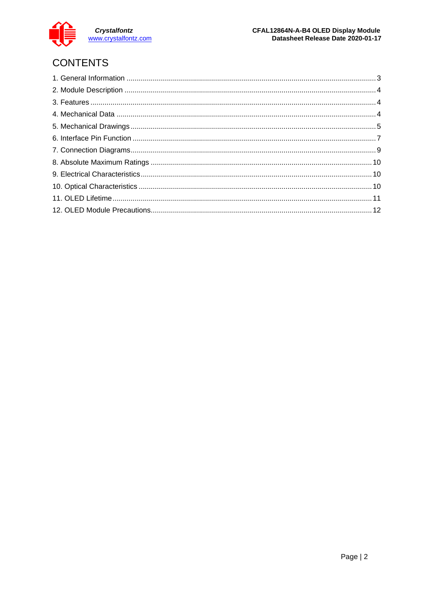

# CONTENTS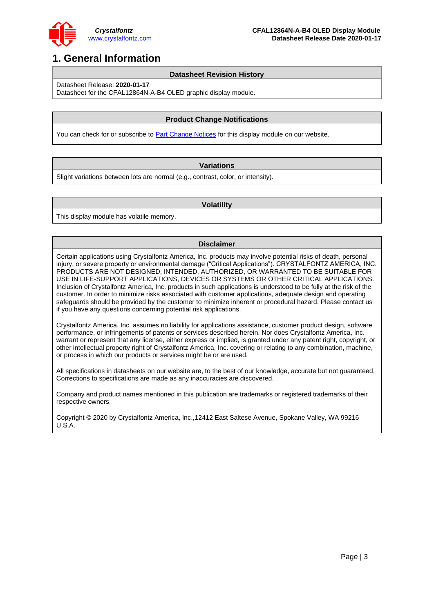

### <span id="page-2-0"></span>**1. General Information**

#### **Datasheet Revision History**

Datasheet Release: **2020-01-17**

Datasheet for the CFAL12864N-A-B4 OLED graphic display module.

#### **Product Change Notifications**

You can check for or subscribe t[o Part Change Notices](https://www.crystalfontz.com/product/cfal12864nab4-module-128x64-graphic-oled#notes) for this display module on our website.

#### **Variations**

Slight variations between lots are normal (e.g., contrast, color, or intensity).

#### **Volatility**

This display module has volatile memory.

#### **Disclaimer**

Certain applications using Crystalfontz America, Inc. products may involve potential risks of death, personal injury, or severe property or environmental damage ("Critical Applications"). CRYSTALFONTZ AMERICA, INC. PRODUCTS ARE NOT DESIGNED, INTENDED, AUTHORIZED, OR WARRANTED TO BE SUITABLE FOR USE IN LIFE-SUPPORT APPLICATIONS, DEVICES OR SYSTEMS OR OTHER CRITICAL APPLICATIONS. Inclusion of Crystalfontz America, Inc. products in such applications is understood to be fully at the risk of the customer. In order to minimize risks associated with customer applications, adequate design and operating safeguards should be provided by the customer to minimize inherent or procedural hazard. Please contact us if you have any questions concerning potential risk applications.

Crystalfontz America, Inc. assumes no liability for applications assistance, customer product design, software performance, or infringements of patents or services described herein. Nor does Crystalfontz America, Inc. warrant or represent that any license, either express or implied, is granted under any patent right, copyright, or other intellectual property right of Crystalfontz America, Inc. covering or relating to any combination, machine, or process in which our products or services might be or are used.

All specifications in datasheets on our website are, to the best of our knowledge, accurate but not guaranteed. Corrections to specifications are made as any inaccuracies are discovered.

Company and product names mentioned in this publication are trademarks or registered trademarks of their respective owners.

Copyright © 2020 by Crystalfontz America, Inc.,12412 East Saltese Avenue, Spokane Valley, WA 99216 U.S.A.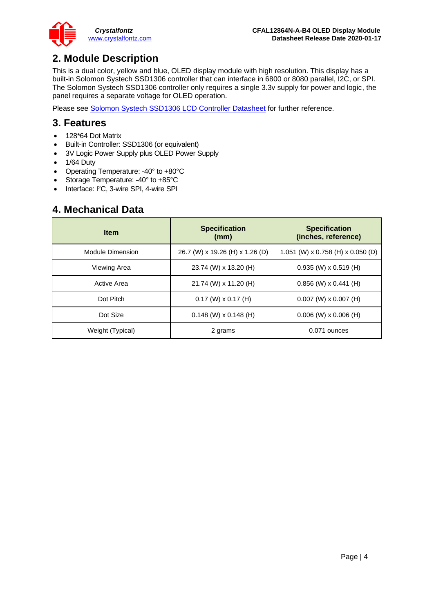### <span id="page-3-0"></span>**2. Module Description**

This is a dual color, yellow and blue, OLED display module with high resolution. This display has a built-in Solomon Systech SSD1306 controller that can interface in 6800 or 8080 parallel, I2C, or SPI. The Solomon Systech SSD1306 controller only requires a single 3.3v supply for power and logic, the panel requires a separate voltage for OLED operation.

Please see [Solomon Systech SSD1306 LCD Controller Datasheet](https://www.crystalfontz.com/controllers/Solomon%20Systech/SSD1306) for further reference.

### <span id="page-3-1"></span>**3. Features**

- 128\*64 Dot Matrix
- Built-in Controller: SSD1306 (or equivalent)
- 3V Logic Power Supply plus OLED Power Supply
- 1/64 Duty
- Operating Temperature: -40° to +80°C
- Storage Temperature: -40° to +85°C
- Interface: I <sup>2</sup>C, 3-wire SPI, 4-wire SPI

### <span id="page-3-2"></span>**4. Mechanical Data**

| <b>Item</b>      | <b>Specification</b><br>(mm)    | <b>Specification</b><br>(inches, reference) |
|------------------|---------------------------------|---------------------------------------------|
| Module Dimension | 26.7 (W) x 19.26 (H) x 1.26 (D) | 1.051 (W) x 0.758 (H) x 0.050 (D)           |
| Viewing Area     | 23.74 (W) x 13.20 (H)           | $0.935$ (W) x $0.519$ (H)                   |
| Active Area      | 21.74 (W) x 11.20 (H)           | $0.856$ (W) x $0.441$ (H)                   |
| Dot Pitch        | $0.17$ (W) $\times$ 0.17 (H)    | $0.007$ (W) x $0.007$ (H)                   |
| Dot Size         | $0.148$ (W) x 0.148 (H)         | $0.006$ (W) x 0.006 (H)                     |
| Weight (Typical) | 2 grams                         | 0.071 ounces                                |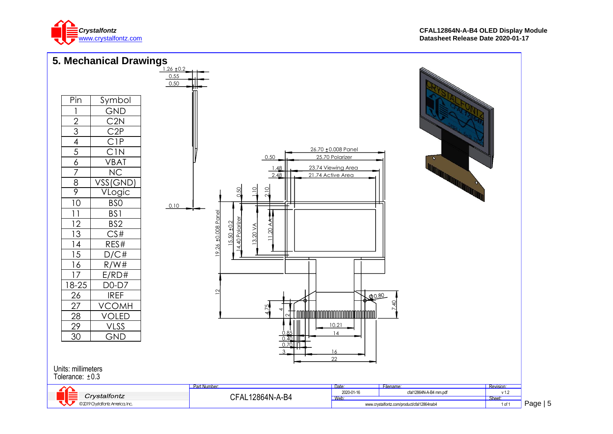

<span id="page-4-0"></span>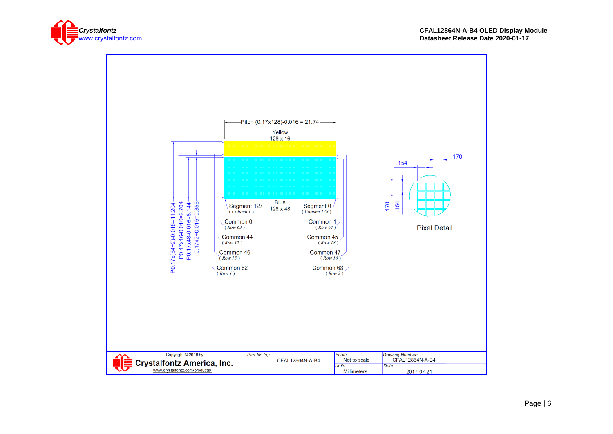

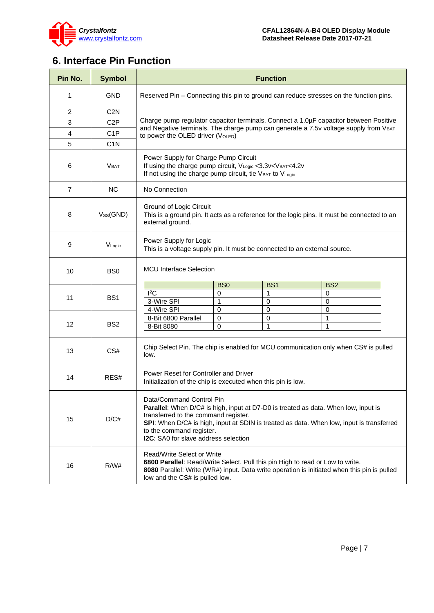

# <span id="page-6-0"></span>**6. Interface Pin Function**

| Pin No.        | <b>Symbol</b>    | <b>Function</b>                                                                                                                                                                                                                                                                                                               |                 |                 |                                                                                       |
|----------------|------------------|-------------------------------------------------------------------------------------------------------------------------------------------------------------------------------------------------------------------------------------------------------------------------------------------------------------------------------|-----------------|-----------------|---------------------------------------------------------------------------------------|
| 1              | <b>GND</b>       | Reserved Pin – Connecting this pin to ground can reduce stresses on the function pins.                                                                                                                                                                                                                                        |                 |                 |                                                                                       |
| 2              | C <sub>2</sub> N |                                                                                                                                                                                                                                                                                                                               |                 |                 |                                                                                       |
| 3              | C <sub>2</sub> P |                                                                                                                                                                                                                                                                                                                               |                 |                 | Charge pump regulator capacitor terminals. Connect a 1.0µF capacitor between Positive |
| 4              | C <sub>1</sub> P |                                                                                                                                                                                                                                                                                                                               |                 |                 | and Negative terminals. The charge pump can generate a 7.5v voltage supply from VBAT  |
| 5              | C <sub>1</sub> N | to power the OLED driver (VOLED)                                                                                                                                                                                                                                                                                              |                 |                 |                                                                                       |
| 6              | V <sub>BAT</sub> | Power Supply for Charge Pump Circuit<br>If using the charge pump circuit, V <sub>Logic</sub> <3.3v <v<sub>BAT&lt;4.2v<br/>If not using the charge pump circuit, tie VBAT to VLogic</v<sub>                                                                                                                                    |                 |                 |                                                                                       |
| $\overline{7}$ | <b>NC</b>        | No Connection                                                                                                                                                                                                                                                                                                                 |                 |                 |                                                                                       |
| 8              | $V_{SS}$ (GND)   | Ground of Logic Circuit<br>This is a ground pin. It acts as a reference for the logic pins. It must be connected to an<br>external ground.                                                                                                                                                                                    |                 |                 |                                                                                       |
| 9              | VLogic           | Power Supply for Logic<br>This is a voltage supply pin. It must be connected to an external source.                                                                                                                                                                                                                           |                 |                 |                                                                                       |
| 10             | BS <sub>0</sub>  | <b>MCU</b> Interface Selection                                                                                                                                                                                                                                                                                                |                 |                 |                                                                                       |
|                |                  |                                                                                                                                                                                                                                                                                                                               | B <sub>S0</sub> | BS <sub>1</sub> | BS <sub>2</sub>                                                                       |
| 11             | BS <sub>1</sub>  | $I^2C$                                                                                                                                                                                                                                                                                                                        | $\Omega$        | $\mathbf{1}$    | 0                                                                                     |
|                |                  | 3-Wire SPI                                                                                                                                                                                                                                                                                                                    | 1               | $\mathbf 0$     | 0                                                                                     |
|                |                  | 4-Wire SPI                                                                                                                                                                                                                                                                                                                    | 0               | $\mathbf 0$     | 0                                                                                     |
| 12             | BS <sub>2</sub>  | 8-Bit 6800 Parallel<br>8-Bit 8080                                                                                                                                                                                                                                                                                             | 0<br>0          | 0<br>1          | 1<br>1                                                                                |
|                |                  |                                                                                                                                                                                                                                                                                                                               |                 |                 |                                                                                       |
| 13             | CS#              | Chip Select Pin. The chip is enabled for MCU communication only when CS# is pulled<br>low.                                                                                                                                                                                                                                    |                 |                 |                                                                                       |
| 14             | RES#             | Power Reset for Controller and Driver<br>Initialization of the chip is executed when this pin is low.                                                                                                                                                                                                                         |                 |                 |                                                                                       |
| 15             | D/C#             | Data/Command Control Pin<br><b>Parallel:</b> When D/C# is high, input at D7-D0 is treated as data. When low, input is<br>transferred to the command register.<br>SPI: When D/C# is high, input at SDIN is treated as data. When low, input is transferred<br>to the command register.<br>I2C: SA0 for slave address selection |                 |                 |                                                                                       |
| 16             | R/W#             | Read/Write Select or Write<br>6800 Parallel: Read/Write Select. Pull this pin High to read or Low to write.<br>8080 Parallel: Write (WR#) input. Data write operation is initiated when this pin is pulled<br>low and the CS# is pulled low.                                                                                  |                 |                 |                                                                                       |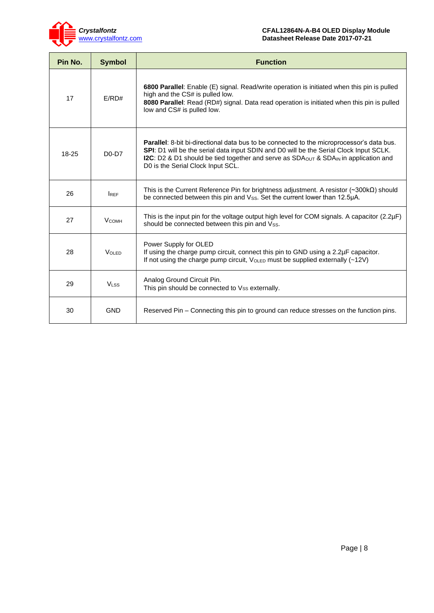

| Pin No. | <b>Symbol</b>    | <b>Function</b>                                                                                                                                                                                                                                                                                                                                       |
|---------|------------------|-------------------------------------------------------------------------------------------------------------------------------------------------------------------------------------------------------------------------------------------------------------------------------------------------------------------------------------------------------|
| 17      | E/RD#            | 6800 Parallel: Enable (E) signal. Read/write operation is initiated when this pin is pulled<br>high and the CS# is pulled low.<br>8080 Parallel: Read (RD#) signal. Data read operation is initiated when this pin is pulled<br>low and CS# is pulled low.                                                                                            |
| 18-25   | $D0-D7$          | <b>Parallel:</b> 8-bit bi-directional data bus to be connected to the microprocessor's data bus.<br>SPI: D1 will be the serial data input SDIN and D0 will be the Serial Clock Input SCLK.<br><b>I2C:</b> D2 & D1 should be tied together and serve as SDA <sub>OUT</sub> & SDA <sub>IN</sub> in application and<br>D0 is the Serial Clock Input SCL. |
| 26      | <b>IREF</b>      | This is the Current Reference Pin for brightness adjustment. A resistor $(\sim 300 \text{k}\Omega)$ should<br>be connected between this pin and Vss. Set the current lower than 12.5µA.                                                                                                                                                               |
| 27      | <b>V</b> сомн    | This is the input pin for the voltage output high level for COM signals. A capacitor (2.2µF)<br>should be connected between this pin and Vss.                                                                                                                                                                                                         |
| 28      | $V$ OI ED        | Power Supply for OLED<br>If using the charge pump circuit, connect this pin to GND using a 2.2µF capacitor.<br>If not using the charge pump circuit, V <sub>OLED</sub> must be supplied externally (~12V)                                                                                                                                             |
| 29      | V <sub>LSS</sub> | Analog Ground Circuit Pin.<br>This pin should be connected to Vss externally.                                                                                                                                                                                                                                                                         |
| 30      | <b>GND</b>       | Reserved Pin – Connecting this pin to ground can reduce stresses on the function pins.                                                                                                                                                                                                                                                                |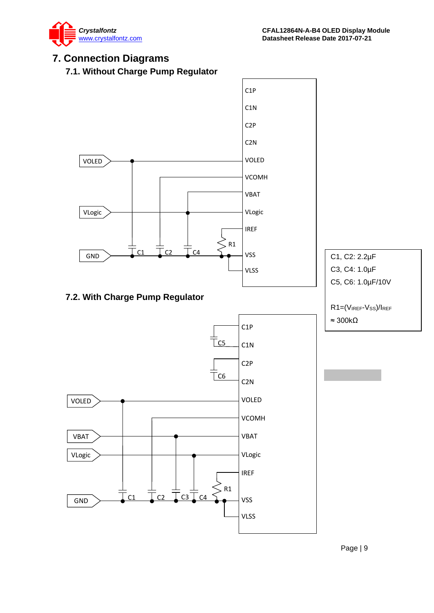

### <span id="page-8-0"></span>**7. Connection Diagrams**

**7.1. Without Charge Pump Regulator**

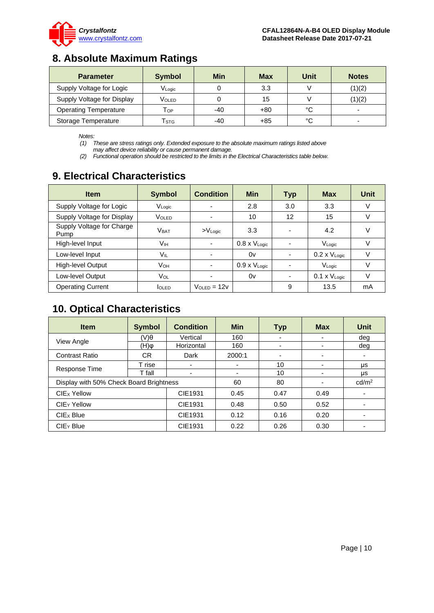

### <span id="page-9-0"></span>**8. Absolute Maximum Ratings**

| <b>Parameter</b>             | <b>Symbol</b>              | Min | Max   | Unit | <b>Notes</b>             |
|------------------------------|----------------------------|-----|-------|------|--------------------------|
| Supply Voltage for Logic     | VLogic                     |     | 3.3   |      | (1)(2)                   |
| Supply Voltage for Display   | Voled                      |     | 15    |      | (1)(2)                   |
| <b>Operating Temperature</b> | $\mathsf{T}_{\mathsf{OP}}$ | -40 | +80   | °C   | $\overline{\phantom{0}}$ |
| Storage Temperature          | $\mathsf{T}_{\text{STG}}$  | -40 | $+85$ | °C   | $\overline{\phantom{0}}$ |

*Notes:*

*(1) These are stress ratings only. Extended exposure to the absolute maximum ratings listed above may affect device reliability or cause permanent damage.* 

*(2) Functional operation should be restricted to the limits in the Electrical Characteristics table below.*

### <span id="page-9-1"></span>**9. Electrical Characteristics**

| <b>Item</b>                       | <b>Symbol</b>           | <b>Condition</b>    | <b>Min</b>             | <b>Typ</b>               | <b>Max</b>             | <b>Unit</b> |
|-----------------------------------|-------------------------|---------------------|------------------------|--------------------------|------------------------|-------------|
| Supply Voltage for Logic          | VLogic                  |                     | 2.8                    | 3.0                      | 3.3                    | v           |
| Supply Voltage for Display        | <b>VOLED</b>            |                     | 10                     | 12                       | 15                     | v           |
| Supply Voltage for Charge<br>Pump | <b>V</b> <sub>BAT</sub> | $>V_{\text{Logic}}$ | 3.3                    | $\overline{\phantom{0}}$ | 4.2                    | v           |
| High-level Input                  | Vıн                     | ۰                   | $0.8 \times V_{Logic}$ |                          | VLogic                 | V           |
| Low-level Input                   | Vil                     |                     | 0v                     | $\overline{\phantom{0}}$ | $0.2 \times V_{Logic}$ | v           |
| High-level Output                 | VOH                     |                     | $0.9 \times V_{Logic}$ |                          | VLogic                 | V           |
| Low-level Output                  | VOL                     | -                   | 0v                     | ۰                        | $0.1 \times V_{Logic}$ | v           |
| <b>Operating Current</b>          | <b>I</b> OLED           | $V$ OLED = 12 $V$   |                        | 9                        | 13.5                   | mA          |

# <span id="page-9-2"></span>**10. Optical Characteristics**

| <b>Item</b>                             | <b>Condition</b><br><b>Symbol</b> |            | <b>Min</b> | <b>Typ</b> | <b>Max</b> | <b>Unit</b>       |
|-----------------------------------------|-----------------------------------|------------|------------|------------|------------|-------------------|
|                                         | (V)θ                              | Vertical   | 160        | ۰          |            | dea               |
| <b>View Angle</b>                       | (H)                               | Horizontal | 160        | -          | -          | dea               |
| <b>Contrast Ratio</b>                   | CR.                               | Dark       | 2000:1     | -          |            |                   |
|                                         | T rise                            |            |            | 10         | -          | μs                |
| Response Time                           | T fall                            |            | ۰          | 10         | ۰          | μs                |
| Display with 50% Check Board Brightness |                                   |            | 60         | 80         |            | cd/m <sup>2</sup> |
| CIE1931<br>CIE <sub>x</sub> Yellow      |                                   | 0.45       | 0.47       | 0.49       |            |                   |
| CIE <sub>Y</sub> Yellow                 |                                   | CIE1931    | 0.48       | 0.50       | 0.52       |                   |
| CIE <sub>x</sub> Blue                   |                                   | CIE1931    | 0.12       | 0.16       | 0.20       |                   |
| $CIEY$ Blue                             |                                   | CIE1931    | 0.22       | 0.26       | 0.30       |                   |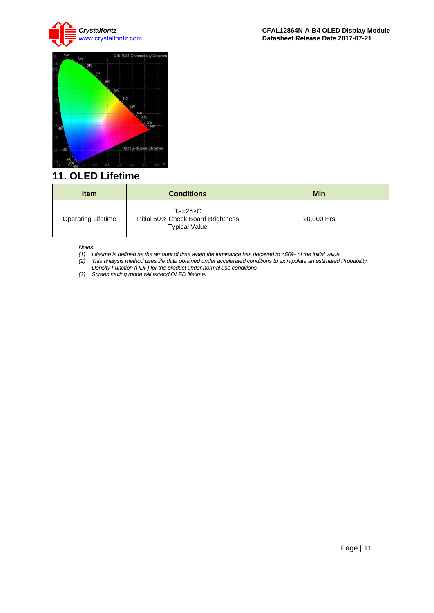



### <span id="page-10-0"></span>**11. OLED Lifetime**

| <b>Item</b>               | <b>Conditions</b>                                                                | Min        |
|---------------------------|----------------------------------------------------------------------------------|------------|
| <b>Operating Lifetime</b> | $Ta = 25^{\circ}C$<br>Initial 50% Check Board Brightness<br><b>Typical Value</b> | 20,000 Hrs |

*Notes:* 

- *(1) Lifetime is defined as the amount of time when the luminance has decayed to <50% of the initial value.*
- *(2) This analysis method uses life data obtained under accelerated conditions to extrapolate an estimated Probability Density Function (PDF) for the product under normal use conditions.*
- *(3) Screen saving mode will extend OLED lifetime.*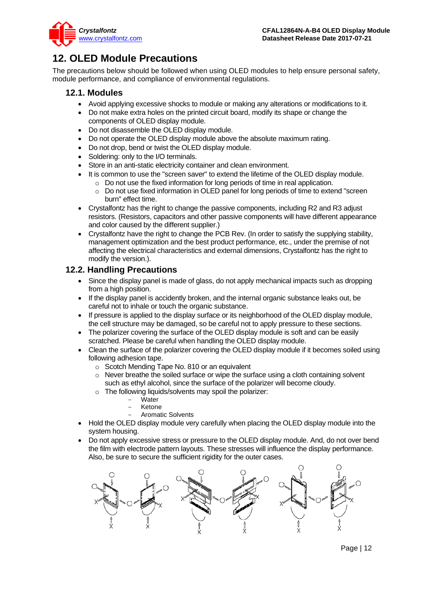

### <span id="page-11-0"></span>**12. OLED Module Precautions**

The precautions below should be followed when using OLED modules to help ensure personal safety, module performance, and compliance of environmental regulations.

### **12.1. Modules**

- Avoid applying excessive shocks to module or making any alterations or modifications to it.
- Do not make extra holes on the printed circuit board, modify its shape or change the components of OLED display module.
- Do not disassemble the OLED display module.
- Do not operate the OLED display module above the absolute maximum rating.
- Do not drop, bend or twist the OLED display module.
- Soldering: only to the I/O terminals.
- Store in an anti-static electricity container and clean environment.
- It is common to use the "screen saver" to extend the lifetime of the OLED display module.
	- $\circ$  Do not use the fixed information for long periods of time in real application.
	- o Do not use fixed information in OLED panel for long periods of time to extend "screen burn" effect time.
- Crystalfontz has the right to change the passive components, including R2 and R3 adjust resistors. (Resistors, capacitors and other passive components will have different appearance and color caused by the different supplier.)
- Crystalfontz have the right to change the PCB Rev. (In order to satisfy the supplying stability, management optimization and the best product performance, etc., under the premise of not affecting the electrical characteristics and external dimensions, Crystalfontz has the right to modify the version.).

### **12.2. Handling Precautions**

- Since the display panel is made of glass, do not apply mechanical impacts such as dropping from a high position.
- If the display panel is accidently broken, and the internal organic substance leaks out, be careful not to inhale or touch the organic substance.
- If pressure is applied to the display surface or its neighborhood of the OLED display module, the cell structure may be damaged, so be careful not to apply pressure to these sections.
- The polarizer covering the surface of the OLED display module is soft and can be easily scratched. Please be careful when handling the OLED display module.
- Clean the surface of the polarizer covering the OLED display module if it becomes soiled using following adhesion tape.
	- o Scotch Mending Tape No. 810 or an equivalent
	- o Never breathe the soiled surface or wipe the surface using a cloth containing solvent such as ethyl alcohol, since the surface of the polarizer will become cloudy.
	- o The following liquids/solvents may spoil the polarizer:
		- Water
		- **Ketone**
		- Aromatic Solvents
- Hold the OLED display module very carefully when placing the OLED display module into the system housing.
- Do not apply excessive stress or pressure to the OLED display module. And, do not over bend the film with electrode pattern layouts. These stresses will influence the display performance. Also, be sure to secure the sufficient rigidity for the outer cases.

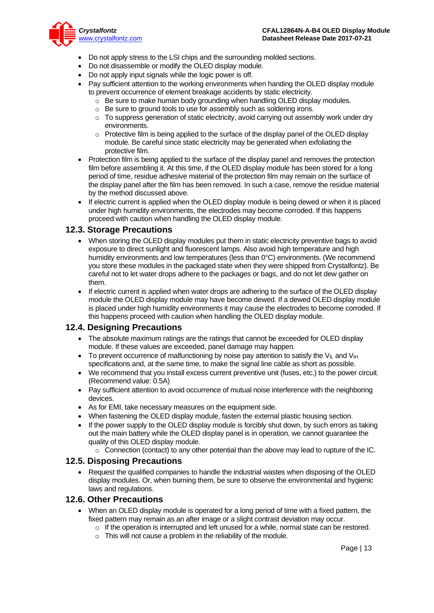

- Do not apply stress to the LSI chips and the surrounding molded sections.
- Do not disassemble or modify the OLED display module.
- Do not apply input signals while the logic power is off.
- Pay sufficient attention to the working environments when handing the OLED display module to prevent occurrence of element breakage accidents by static electricity.
	- o Be sure to make human body grounding when handling OLED display modules.
	- o Be sure to ground tools to use for assembly such as soldering irons.
	- $\circ$  To suppress generation of static electricity, avoid carrying out assembly work under dry environments.
	- $\circ$  Protective film is being applied to the surface of the display panel of the OLED display module. Be careful since static electricity may be generated when exfoliating the protective film.
- Protection film is being applied to the surface of the display panel and removes the protection film before assembling it. At this time, if the OLED display module has been stored for a long period of time, residue adhesive material of the protection film may remain on the surface of the display panel after the film has been removed. In such a case, remove the residue material by the method discussed above.
- If electric current is applied when the OLED display module is being dewed or when it is placed under high humidity environments, the electrodes may become corroded. If this happens proceed with caution when handling the OLED display module.

#### **12.3. Storage Precautions**

- When storing the OLED display modules put them in static electricity preventive bags to avoid exposure to direct sunlight and fluorescent lamps. Also avoid high temperature and high humidity environments and low temperatures (less than 0°C) environments. (We recommend you store these modules in the packaged state when they were shipped from Crystalfontz). Be careful not to let water drops adhere to the packages or bags, and do not let dew gather on them.
- If electric current is applied when water drops are adhering to the surface of the OLED display module the OLED display module may have become dewed. If a dewed OLED display module is placed under high humidity environments it may cause the electrodes to become corroded. If this happens proceed with caution when handling the OLED display module.

#### **12.4. Designing Precautions**

- The absolute maximum ratings are the ratings that cannot be exceeded for OLED display module. If these values are exceeded, panel damage may happen.
- To prevent occurrence of malfunctioning by noise pay attention to satisfy the V<sub>II</sub> and V<sub>IH</sub> specifications and, at the same time, to make the signal line cable as short as possible.
- We recommend that you install excess current preventive unit (fuses, etc.) to the power circuit. (Recommend value: 0.5A)
- Pay sufficient attention to avoid occurrence of mutual noise interference with the neighboring devices.
- As for EMI, take necessary measures on the equipment side.
- When fastening the OLED display module, fasten the external plastic housing section.
- If the power supply to the OLED display module is forcibly shut down, by such errors as taking out the main battery while the OLED display panel is in operation, we cannot guarantee the quality of this OLED display module.
	- $\circ$  Connection (contact) to any other potential than the above may lead to rupture of the IC.

#### **12.5. Disposing Precautions**

• Request the qualified companies to handle the industrial wastes when disposing of the OLED display modules. Or, when burning them, be sure to observe the environmental and hygienic laws and regulations.

#### **12.6. Other Precautions**

- When an OLED display module is operated for a long period of time with a fixed pattern, the fixed pattern may remain as an after image or a slight contrast deviation may occur.
	- $\circ$  If the operation is interrupted and left unused for a while, normal state can be restored.
	- $\circ$  This will not cause a problem in the reliability of the module.